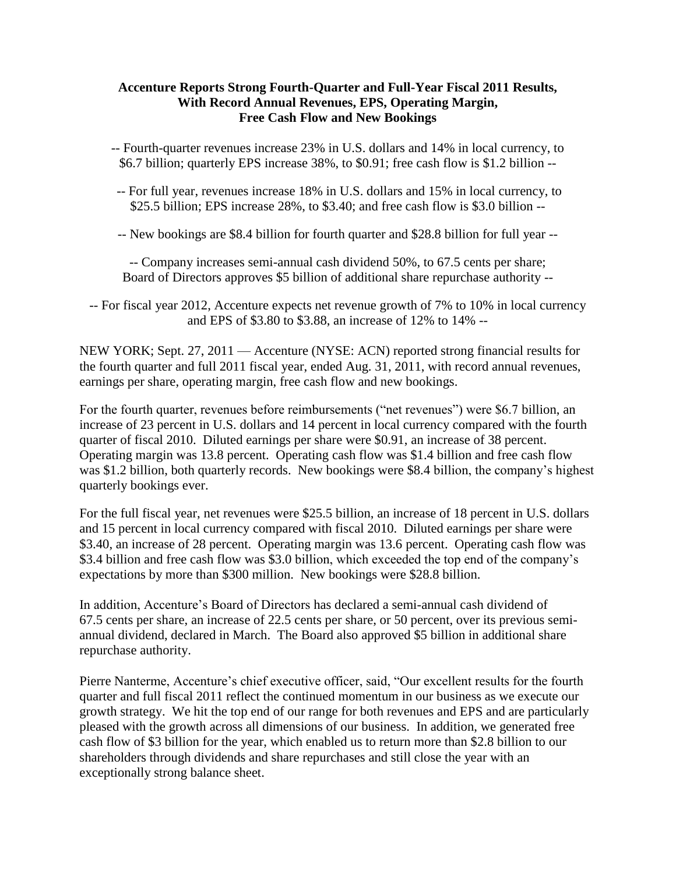### **Accenture Reports Strong Fourth-Quarter and Full-Year Fiscal 2011 Results, With Record Annual Revenues, EPS, Operating Margin, Free Cash Flow and New Bookings**

-- Fourth-quarter revenues increase 23% in U.S. dollars and 14% in local currency, to \$6.7 billion; quarterly EPS increase 38%, to \$0.91; free cash flow is \$1.2 billion --

-- For full year, revenues increase 18% in U.S. dollars and 15% in local currency, to \$25.5 billion; EPS increase 28%, to \$3.40; and free cash flow is \$3.0 billion --

-- New bookings are \$8.4 billion for fourth quarter and \$28.8 billion for full year --

-- Company increases semi-annual cash dividend 50%, to 67.5 cents per share; Board of Directors approves \$5 billion of additional share repurchase authority --

-- For fiscal year 2012, Accenture expects net revenue growth of 7% to 10% in local currency and EPS of \$3.80 to \$3.88, an increase of 12% to 14% --

NEW YORK; Sept. 27, 2011 — Accenture (NYSE: ACN) reported strong financial results for the fourth quarter and full 2011 fiscal year, ended Aug. 31, 2011, with record annual revenues, earnings per share, operating margin, free cash flow and new bookings.

For the fourth quarter, revenues before reimbursements ("net revenues") were \$6.7 billion, an increase of 23 percent in U.S. dollars and 14 percent in local currency compared with the fourth quarter of fiscal 2010. Diluted earnings per share were \$0.91, an increase of 38 percent. Operating margin was 13.8 percent. Operating cash flow was \$1.4 billion and free cash flow was \$1.2 billion, both quarterly records. New bookings were \$8.4 billion, the company's highest quarterly bookings ever.

For the full fiscal year, net revenues were \$25.5 billion, an increase of 18 percent in U.S. dollars and 15 percent in local currency compared with fiscal 2010. Diluted earnings per share were \$3.40, an increase of 28 percent. Operating margin was 13.6 percent. Operating cash flow was \$3.4 billion and free cash flow was \$3.0 billion, which exceeded the top end of the company's expectations by more than \$300 million. New bookings were \$28.8 billion.

In addition, Accenture's Board of Directors has declared a semi-annual cash dividend of 67.5 cents per share, an increase of 22.5 cents per share, or 50 percent, over its previous semiannual dividend, declared in March. The Board also approved \$5 billion in additional share repurchase authority.

Pierre Nanterme, Accenture's chief executive officer, said, "Our excellent results for the fourth quarter and full fiscal 2011 reflect the continued momentum in our business as we execute our growth strategy. We hit the top end of our range for both revenues and EPS and are particularly pleased with the growth across all dimensions of our business. In addition, we generated free cash flow of \$3 billion for the year, which enabled us to return more than \$2.8 billion to our shareholders through dividends and share repurchases and still close the year with an exceptionally strong balance sheet.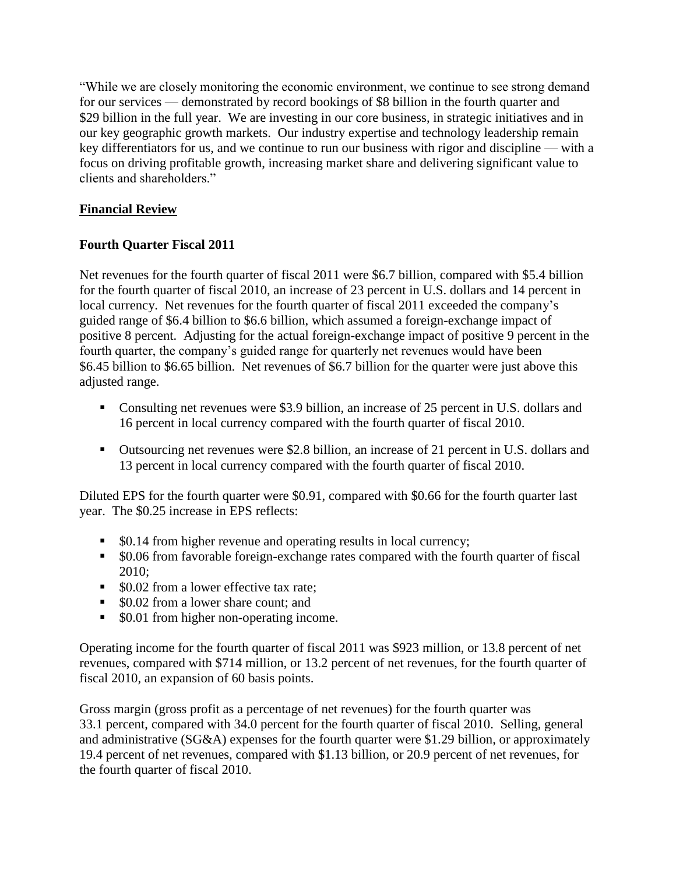―While we are closely monitoring the economic environment, we continue to see strong demand for our services — demonstrated by record bookings of \$8 billion in the fourth quarter and \$29 billion in the full year. We are investing in our core business, in strategic initiatives and in our key geographic growth markets. Our industry expertise and technology leadership remain key differentiators for us, and we continue to run our business with rigor and discipline — with a focus on driving profitable growth, increasing market share and delivering significant value to clients and shareholders."

# **Financial Review**

# **Fourth Quarter Fiscal 2011**

Net revenues for the fourth quarter of fiscal 2011 were \$6.7 billion, compared with \$5.4 billion for the fourth quarter of fiscal 2010, an increase of 23 percent in U.S. dollars and 14 percent in local currency. Net revenues for the fourth quarter of fiscal 2011 exceeded the company's guided range of \$6.4 billion to \$6.6 billion, which assumed a foreign-exchange impact of positive 8 percent. Adjusting for the actual foreign-exchange impact of positive 9 percent in the fourth quarter, the company's guided range for quarterly net revenues would have been \$6.45 billion to \$6.65 billion. Net revenues of \$6.7 billion for the quarter were just above this adjusted range.

- Consulting net revenues were \$3.9 billion, an increase of 25 percent in U.S. dollars and 16 percent in local currency compared with the fourth quarter of fiscal 2010.
- Outsourcing net revenues were \$2.8 billion, an increase of 21 percent in U.S. dollars and 13 percent in local currency compared with the fourth quarter of fiscal 2010.

Diluted EPS for the fourth quarter were \$0.91, compared with \$0.66 for the fourth quarter last year. The \$0.25 increase in EPS reflects:

- \$0.14 from higher revenue and operating results in local currency;
- \$0.06 from favorable foreign-exchange rates compared with the fourth quarter of fiscal 2010;
- \$0.02 from a lower effective tax rate;
- \$0.02 from a lower share count; and
- \$0.01 from higher non-operating income.

Operating income for the fourth quarter of fiscal 2011 was \$923 million, or 13.8 percent of net revenues, compared with \$714 million, or 13.2 percent of net revenues, for the fourth quarter of fiscal 2010, an expansion of 60 basis points.

Gross margin (gross profit as a percentage of net revenues) for the fourth quarter was 33.1 percent, compared with 34.0 percent for the fourth quarter of fiscal 2010. Selling, general and administrative (SG&A) expenses for the fourth quarter were \$1.29 billion, or approximately 19.4 percent of net revenues, compared with \$1.13 billion, or 20.9 percent of net revenues, for the fourth quarter of fiscal 2010.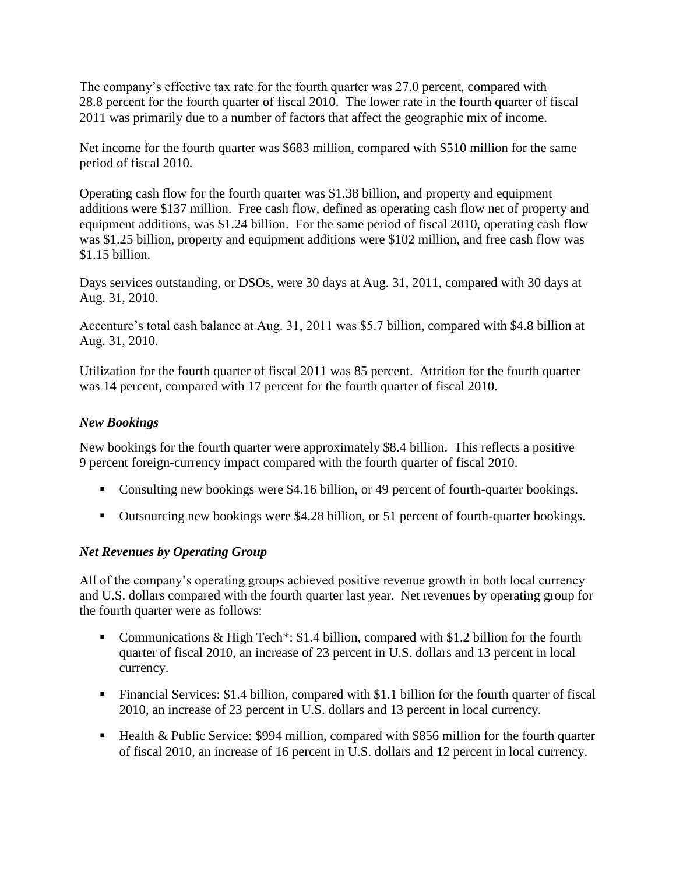The company's effective tax rate for the fourth quarter was 27.0 percent, compared with 28.8 percent for the fourth quarter of fiscal 2010. The lower rate in the fourth quarter of fiscal 2011 was primarily due to a number of factors that affect the geographic mix of income.

Net income for the fourth quarter was \$683 million, compared with \$510 million for the same period of fiscal 2010.

Operating cash flow for the fourth quarter was \$1.38 billion, and property and equipment additions were \$137 million. Free cash flow, defined as operating cash flow net of property and equipment additions, was \$1.24 billion. For the same period of fiscal 2010, operating cash flow was \$1.25 billion, property and equipment additions were \$102 million, and free cash flow was \$1.15 billion.

Days services outstanding, or DSOs, were 30 days at Aug. 31, 2011, compared with 30 days at Aug. 31, 2010.

Accenture's total cash balance at Aug. 31, 2011 was \$5.7 billion, compared with \$4.8 billion at Aug. 31, 2010.

Utilization for the fourth quarter of fiscal 2011 was 85 percent. Attrition for the fourth quarter was 14 percent, compared with 17 percent for the fourth quarter of fiscal 2010.

# *New Bookings*

New bookings for the fourth quarter were approximately \$8.4 billion. This reflects a positive 9 percent foreign-currency impact compared with the fourth quarter of fiscal 2010.

- Consulting new bookings were \$4.16 billion, or 49 percent of fourth-quarter bookings.
- Outsourcing new bookings were \$4.28 billion, or 51 percent of fourth-quarter bookings.

## *Net Revenues by Operating Group*

All of the company's operating groups achieved positive revenue growth in both local currency and U.S. dollars compared with the fourth quarter last year. Net revenues by operating group for the fourth quarter were as follows:

- Communications & High Tech<sup>\*</sup>: \$1.4 billion, compared with \$1.2 billion for the fourth quarter of fiscal 2010, an increase of 23 percent in U.S. dollars and 13 percent in local currency.
- Financial Services: \$1.4 billion, compared with \$1.1 billion for the fourth quarter of fiscal 2010, an increase of 23 percent in U.S. dollars and 13 percent in local currency.
- Health & Public Service: \$994 million, compared with \$856 million for the fourth quarter of fiscal 2010, an increase of 16 percent in U.S. dollars and 12 percent in local currency.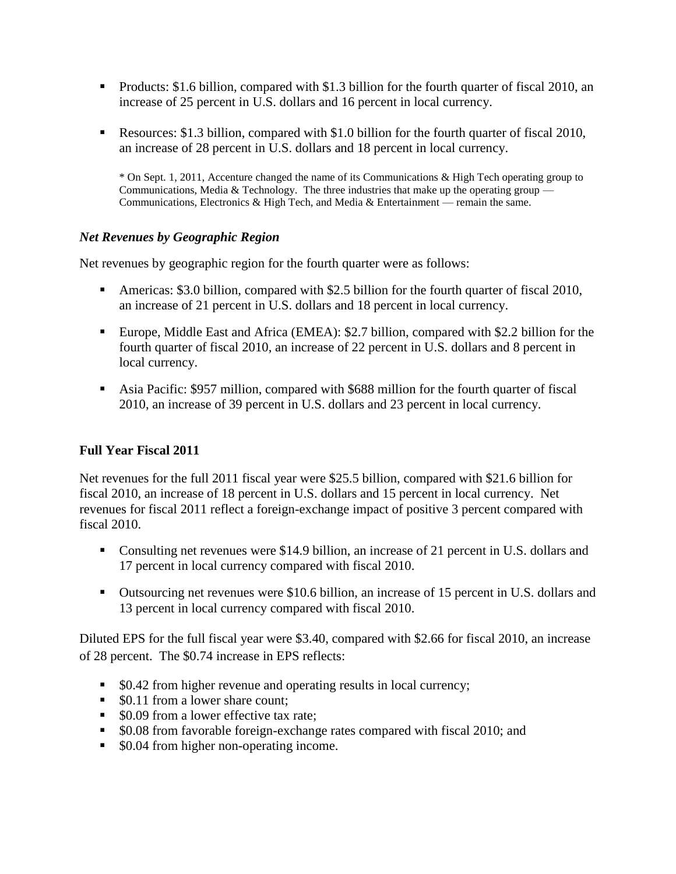- **Products: \$1.6 billion, compared with \$1.3 billion for the fourth quarter of fiscal 2010, an** increase of 25 percent in U.S. dollars and 16 percent in local currency.
- Resources: \$1.3 billion, compared with \$1.0 billion for the fourth quarter of fiscal 2010, an increase of 28 percent in U.S. dollars and 18 percent in local currency.

\* On Sept. 1, 2011, Accenture changed the name of its Communications & High Tech operating group to Communications, Media & Technology. The three industries that make up the operating group — Communications, Electronics & High Tech, and Media & Entertainment — remain the same.

## *Net Revenues by Geographic Region*

Net revenues by geographic region for the fourth quarter were as follows:

- Americas: \$3.0 billion, compared with \$2.5 billion for the fourth quarter of fiscal 2010, an increase of 21 percent in U.S. dollars and 18 percent in local currency.
- Europe, Middle East and Africa (EMEA): \$2.7 billion, compared with \$2.2 billion for the fourth quarter of fiscal 2010, an increase of 22 percent in U.S. dollars and 8 percent in local currency.
- Asia Pacific: \$957 million, compared with \$688 million for the fourth quarter of fiscal 2010, an increase of 39 percent in U.S. dollars and 23 percent in local currency.

## **Full Year Fiscal 2011**

Net revenues for the full 2011 fiscal year were \$25.5 billion, compared with \$21.6 billion for fiscal 2010, an increase of 18 percent in U.S. dollars and 15 percent in local currency. Net revenues for fiscal 2011 reflect a foreign-exchange impact of positive 3 percent compared with fiscal 2010.

- Consulting net revenues were \$14.9 billion, an increase of 21 percent in U.S. dollars and 17 percent in local currency compared with fiscal 2010.
- Outsourcing net revenues were \$10.6 billion, an increase of 15 percent in U.S. dollars and 13 percent in local currency compared with fiscal 2010.

Diluted EPS for the full fiscal year were \$3.40, compared with \$2.66 for fiscal 2010, an increase of 28 percent. The \$0.74 increase in EPS reflects:

- \$0.42 from higher revenue and operating results in local currency;
- \$0.11 from a lower share count:
- \$0.09 from a lower effective tax rate;
- \$0.08 from favorable foreign-exchange rates compared with fiscal 2010; and
- $\bullet$  \$0.04 from higher non-operating income.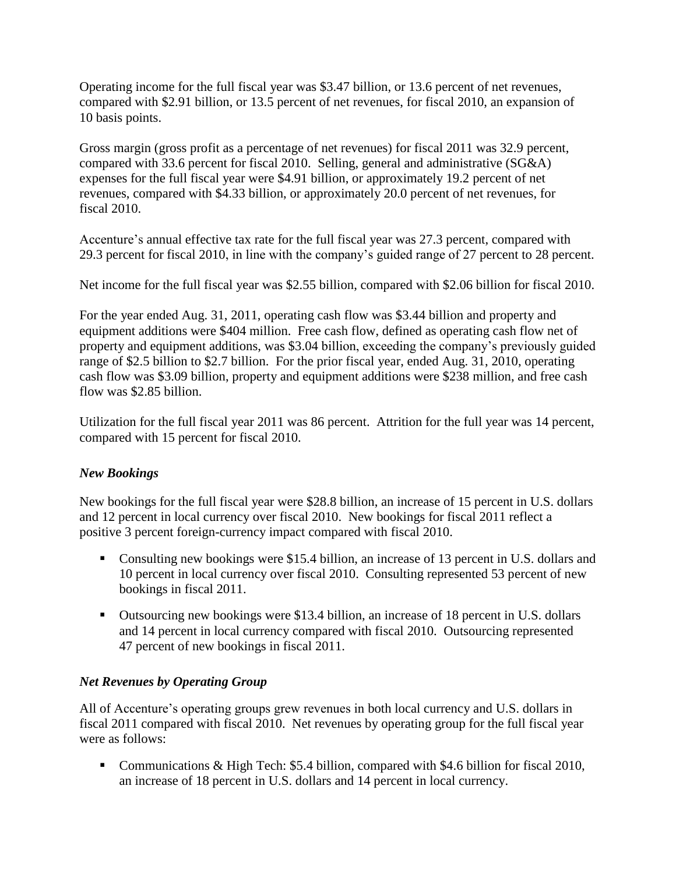Operating income for the full fiscal year was \$3.47 billion, or 13.6 percent of net revenues, compared with \$2.91 billion, or 13.5 percent of net revenues, for fiscal 2010, an expansion of 10 basis points.

Gross margin (gross profit as a percentage of net revenues) for fiscal 2011 was 32.9 percent, compared with 33.6 percent for fiscal 2010. Selling, general and administrative (SG&A) expenses for the full fiscal year were \$4.91 billion, or approximately 19.2 percent of net revenues, compared with \$4.33 billion, or approximately 20.0 percent of net revenues, for fiscal 2010.

Accenture's annual effective tax rate for the full fiscal year was 27.3 percent, compared with 29.3 percent for fiscal 2010, in line with the company's guided range of 27 percent to 28 percent.

Net income for the full fiscal year was \$2.55 billion, compared with \$2.06 billion for fiscal 2010.

For the year ended Aug. 31, 2011, operating cash flow was \$3.44 billion and property and equipment additions were \$404 million. Free cash flow, defined as operating cash flow net of property and equipment additions, was \$3.04 billion, exceeding the company's previously guided range of \$2.5 billion to \$2.7 billion. For the prior fiscal year, ended Aug. 31, 2010, operating cash flow was \$3.09 billion, property and equipment additions were \$238 million, and free cash flow was \$2.85 billion.

Utilization for the full fiscal year 2011 was 86 percent. Attrition for the full year was 14 percent, compared with 15 percent for fiscal 2010.

# *New Bookings*

New bookings for the full fiscal year were \$28.8 billion, an increase of 15 percent in U.S. dollars and 12 percent in local currency over fiscal 2010. New bookings for fiscal 2011 reflect a positive 3 percent foreign-currency impact compared with fiscal 2010.

- Consulting new bookings were \$15.4 billion, an increase of 13 percent in U.S. dollars and 10 percent in local currency over fiscal 2010. Consulting represented 53 percent of new bookings in fiscal 2011.
- Outsourcing new bookings were \$13.4 billion, an increase of 18 percent in U.S. dollars and 14 percent in local currency compared with fiscal 2010. Outsourcing represented 47 percent of new bookings in fiscal 2011.

# *Net Revenues by Operating Group*

All of Accenture's operating groups grew revenues in both local currency and U.S. dollars in fiscal 2011 compared with fiscal 2010. Net revenues by operating group for the full fiscal year were as follows:

■ Communications & High Tech: \$5.4 billion, compared with \$4.6 billion for fiscal 2010, an increase of 18 percent in U.S. dollars and 14 percent in local currency.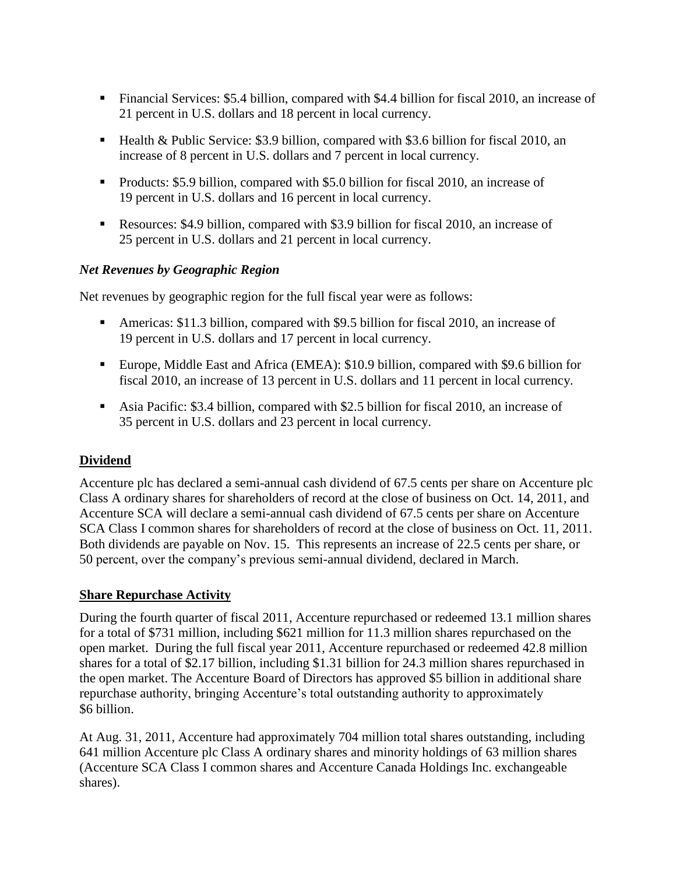- Financial Services: \$5.4 billion, compared with \$4.4 billion for fiscal 2010, an increase of 21 percent in U.S. dollars and 18 percent in local currency.
- Health & Public Service: \$3.9 billion, compared with \$3.6 billion for fiscal 2010, an increase of 8 percent in U.S. dollars and 7 percent in local currency.
- Products: \$5.9 billion, compared with \$5.0 billion for fiscal 2010, an increase of 19 percent in U.S. dollars and 16 percent in local currency.
- Resources: \$4.9 billion, compared with \$3.9 billion for fiscal 2010, an increase of 25 percent in U.S. dollars and 21 percent in local currency.

# *Net Revenues by Geographic Region*

Net revenues by geographic region for the full fiscal year were as follows:

- Americas: \$11.3 billion, compared with \$9.5 billion for fiscal 2010, an increase of 19 percent in U.S. dollars and 17 percent in local currency.
- Europe, Middle East and Africa (EMEA): \$10.9 billion, compared with \$9.6 billion for fiscal 2010, an increase of 13 percent in U.S. dollars and 11 percent in local currency.
- Asia Pacific: \$3.4 billion, compared with \$2.5 billion for fiscal 2010, an increase of 35 percent in U.S. dollars and 23 percent in local currency.

# **Dividend**

Accenture plc has declared a semi-annual cash dividend of 67.5 cents per share on Accenture plc Class A ordinary shares for shareholders of record at the close of business on Oct. 14, 2011, and Accenture SCA will declare a semi-annual cash dividend of 67.5 cents per share on Accenture SCA Class I common shares for shareholders of record at the close of business on Oct. 11, 2011. Both dividends are payable on Nov. 15. This represents an increase of 22.5 cents per share, or 50 percent, over the company's previous semi-annual dividend, declared in March.

# **Share Repurchase Activity**

During the fourth quarter of fiscal 2011, Accenture repurchased or redeemed 13.1 million shares for a total of \$731 million, including \$621 million for 11.3 million shares repurchased on the open market. During the full fiscal year 2011, Accenture repurchased or redeemed 42.8 million shares for a total of \$2.17 billion, including \$1.31 billion for 24.3 million shares repurchased in the open market. The Accenture Board of Directors has approved \$5 billion in additional share repurchase authority, bringing Accenture's total outstanding authority to approximately \$6 billion.

At Aug. 31, 2011, Accenture had approximately 704 million total shares outstanding, including 641 million Accenture plc Class A ordinary shares and minority holdings of 63 million shares (Accenture SCA Class I common shares and Accenture Canada Holdings Inc. exchangeable shares).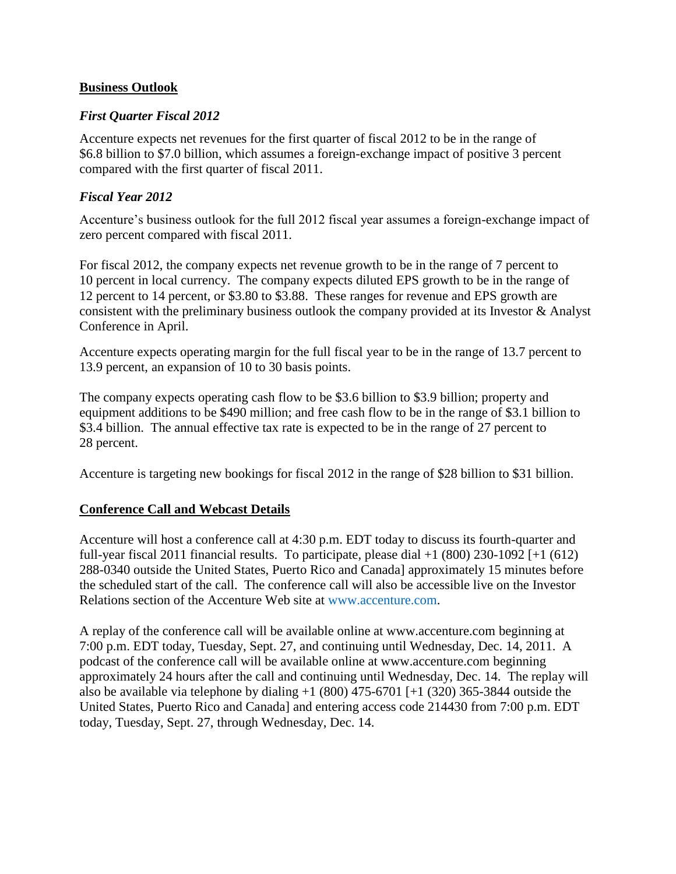### **Business Outlook**

### *First Quarter Fiscal 2012*

Accenture expects net revenues for the first quarter of fiscal 2012 to be in the range of \$6.8 billion to \$7.0 billion, which assumes a foreign-exchange impact of positive 3 percent compared with the first quarter of fiscal 2011.

### *Fiscal Year 2012*

Accenture's business outlook for the full 2012 fiscal year assumes a foreign-exchange impact of zero percent compared with fiscal 2011.

For fiscal 2012, the company expects net revenue growth to be in the range of 7 percent to 10 percent in local currency. The company expects diluted EPS growth to be in the range of 12 percent to 14 percent, or \$3.80 to \$3.88. These ranges for revenue and EPS growth are consistent with the preliminary business outlook the company provided at its Investor & Analyst Conference in April.

Accenture expects operating margin for the full fiscal year to be in the range of 13.7 percent to 13.9 percent, an expansion of 10 to 30 basis points.

The company expects operating cash flow to be \$3.6 billion to \$3.9 billion; property and equipment additions to be \$490 million; and free cash flow to be in the range of \$3.1 billion to \$3.4 billion. The annual effective tax rate is expected to be in the range of 27 percent to 28 percent.

Accenture is targeting new bookings for fiscal 2012 in the range of \$28 billion to \$31 billion.

## **Conference Call and Webcast Details**

Accenture will host a conference call at 4:30 p.m. EDT today to discuss its fourth-quarter and full-year fiscal 2011 financial results. To participate, please dial  $+1$  (800) 230-1092 [ $+1$  (612) 288-0340 outside the United States, Puerto Rico and Canada] approximately 15 minutes before the scheduled start of the call. The conference call will also be accessible live on the Investor Relations section of the Accenture Web site at [www.accenture.com.](http://www.accenture.com/)

A replay of the conference call will be available online at www.accenture.com beginning at 7:00 p.m. EDT today, Tuesday, Sept. 27, and continuing until Wednesday, Dec. 14, 2011. A podcast of the conference call will be available online at www.accenture.com beginning approximately 24 hours after the call and continuing until Wednesday, Dec. 14. The replay will also be available via telephone by dialing  $+1$  (800) 475-6701 [ $+1$  (320) 365-3844 outside the United States, Puerto Rico and Canada] and entering access code 214430 from 7:00 p.m. EDT today, Tuesday, Sept. 27, through Wednesday, Dec. 14.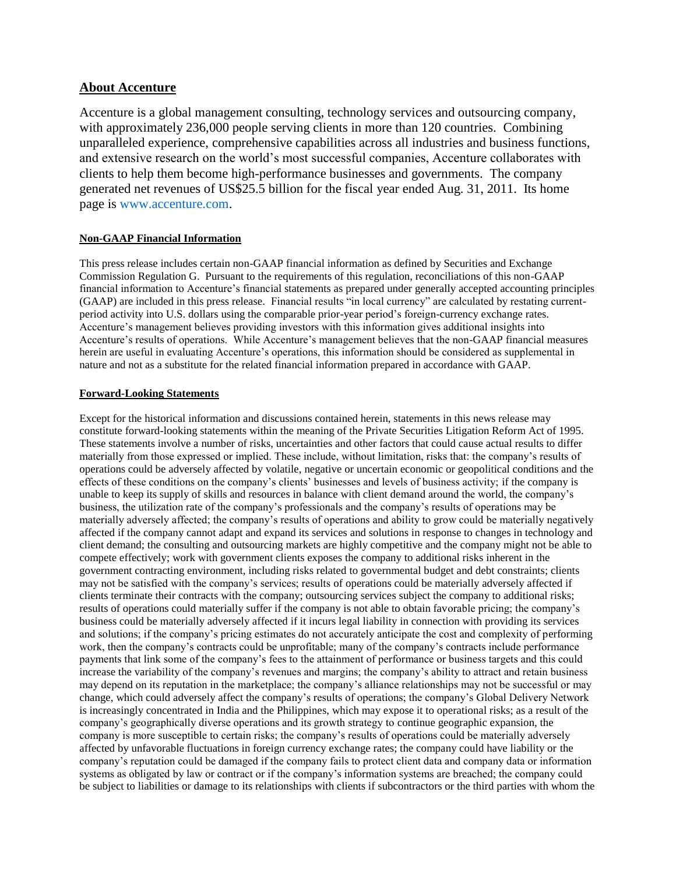### **About Accenture**

Accenture is a global management consulting, technology services and outsourcing company, with approximately 236,000 people serving clients in more than 120 countries. Combining unparalleled experience, comprehensive capabilities across all industries and business functions, and extensive research on the world's most successful companies, Accenture collaborates with clients to help them become high-performance businesses and governments. The company generated net revenues of US\$25.5 billion for the fiscal year ended Aug. 31, 2011. Its home page is [www.accenture.com.](http://www.accenture.com/home.asp)

### **Non-GAAP Financial Information**

This press release includes certain non-GAAP financial information as defined by Securities and Exchange Commission Regulation G. Pursuant to the requirements of this regulation, reconciliations of this non-GAAP financial information to Accenture's financial statements as prepared under generally accepted accounting principles (GAAP) are included in this press release. Financial results "in local currency" are calculated by restating currentperiod activity into U.S. dollars using the comparable prior-year period's foreign-currency exchange rates. Accenture's management believes providing investors with this information gives additional insights into Accenture's results of operations. While Accenture's management believes that the non-GAAP financial measures herein are useful in evaluating Accenture's operations, this information should be considered as supplemental in nature and not as a substitute for the related financial information prepared in accordance with GAAP.

### **Forward-Looking Statements**

Except for the historical information and discussions contained herein, statements in this news release may constitute forward-looking statements within the meaning of the Private Securities Litigation Reform Act of 1995. These statements involve a number of risks, uncertainties and other factors that could cause actual results to differ materially from those expressed or implied. These include, without limitation, risks that: the company's results of operations could be adversely affected by volatile, negative or uncertain economic or geopolitical conditions and the effects of these conditions on the company's clients' businesses and levels of business activity; if the company is unable to keep its supply of skills and resources in balance with client demand around the world, the company's business, the utilization rate of the company's professionals and the company's results of operations may be materially adversely affected; the company's results of operations and ability to grow could be materially negatively affected if the company cannot adapt and expand its services and solutions in response to changes in technology and client demand; the consulting and outsourcing markets are highly competitive and the company might not be able to compete effectively; work with government clients exposes the company to additional risks inherent in the government contracting environment, including risks related to governmental budget and debt constraints; clients may not be satisfied with the company's services; results of operations could be materially adversely affected if clients terminate their contracts with the company; outsourcing services subject the company to additional risks; results of operations could materially suffer if the company is not able to obtain favorable pricing; the company's business could be materially adversely affected if it incurs legal liability in connection with providing its services and solutions; if the company's pricing estimates do not accurately anticipate the cost and complexity of performing work, then the company's contracts could be unprofitable; many of the company's contracts include performance payments that link some of the company's fees to the attainment of performance or business targets and this could increase the variability of the company's revenues and margins; the company's ability to attract and retain business may depend on its reputation in the marketplace; the company's alliance relationships may not be successful or may change, which could adversely affect the company's results of operations; the company's Global Delivery Network is increasingly concentrated in India and the Philippines, which may expose it to operational risks; as a result of the company's geographically diverse operations and its growth strategy to continue geographic expansion, the company is more susceptible to certain risks; the company's results of operations could be materially adversely affected by unfavorable fluctuations in foreign currency exchange rates; the company could have liability or the company's reputation could be damaged if the company fails to protect client data and company data or information systems as obligated by law or contract or if the company's information systems are breached; the company could be subject to liabilities or damage to its relationships with clients if subcontractors or the third parties with whom the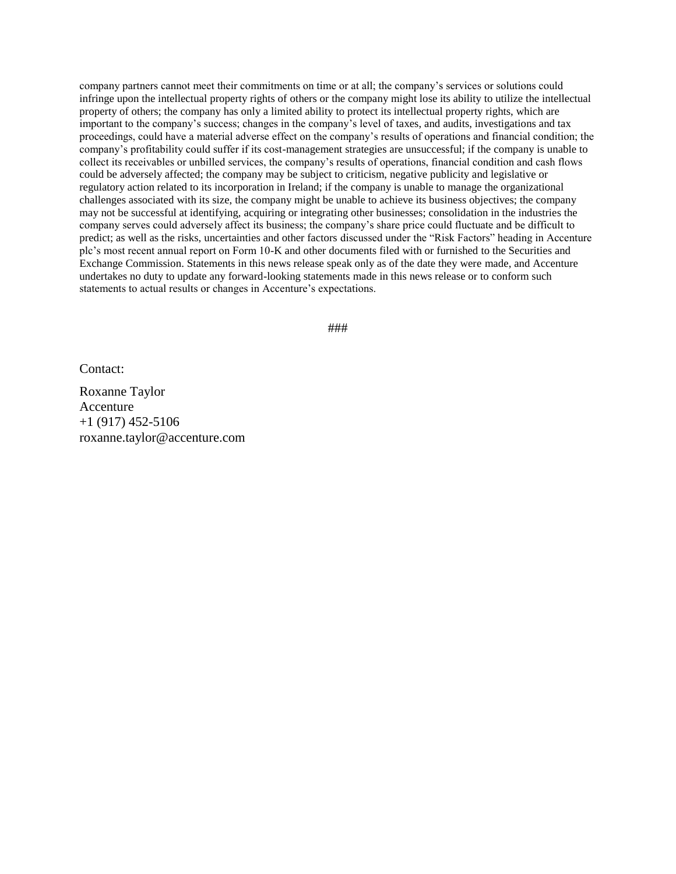company partners cannot meet their commitments on time or at all; the company's services or solutions could infringe upon the intellectual property rights of others or the company might lose its ability to utilize the intellectual property of others; the company has only a limited ability to protect its intellectual property rights, which are important to the company's success; changes in the company's level of taxes, and audits, investigations and tax proceedings, could have a material adverse effect on the company's results of operations and financial condition; the company's profitability could suffer if its cost-management strategies are unsuccessful; if the company is unable to collect its receivables or unbilled services, the company's results of operations, financial condition and cash flows could be adversely affected; the company may be subject to criticism, negative publicity and legislative or regulatory action related to its incorporation in Ireland; if the company is unable to manage the organizational challenges associated with its size, the company might be unable to achieve its business objectives; the company may not be successful at identifying, acquiring or integrating other businesses; consolidation in the industries the company serves could adversely affect its business; the company's share price could fluctuate and be difficult to predict; as well as the risks, uncertainties and other factors discussed under the "Risk Factors" heading in Accenture plc's most recent annual report on Form 10-K and other documents filed with or furnished to the Securities and Exchange Commission. Statements in this news release speak only as of the date they were made, and Accenture undertakes no duty to update any forward-looking statements made in this news release or to conform such statements to actual results or changes in Accenture's expectations.

###

Contact:

Roxanne Taylor Accenture  $+1$  (917) 452-5106 [roxanne.taylor@accenture.com](javascript:popWindow()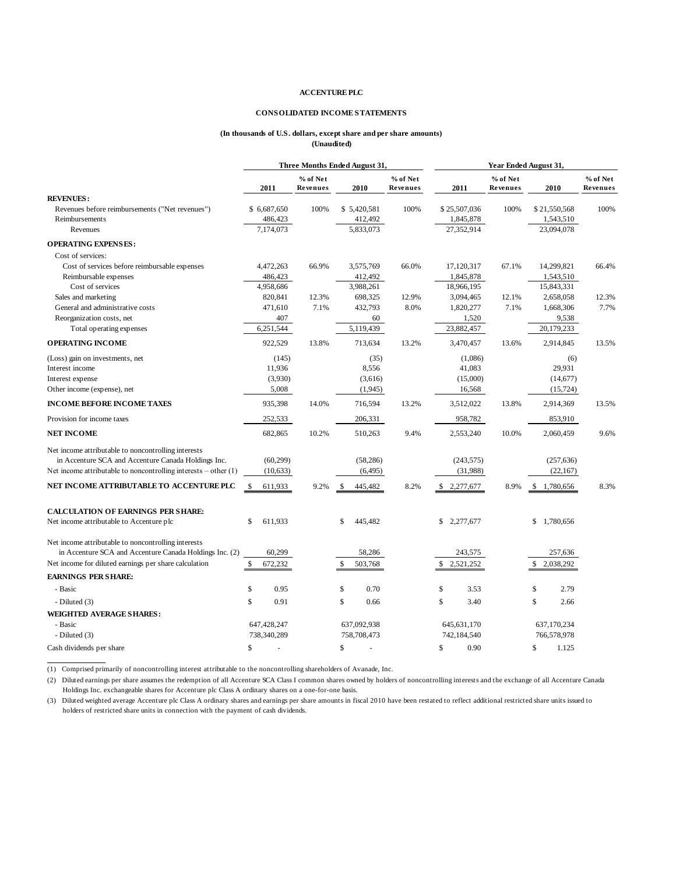#### **CONSOLIDATED INCOME STATEMENTS**

#### **(In thousands of U.S. dollars, except share and per share amounts) (Unaudited)**

|                                                                                                                | Three Months Ended August 31, |                      |                         | Year Ended August 31, |                 |                      |                 |                      |
|----------------------------------------------------------------------------------------------------------------|-------------------------------|----------------------|-------------------------|-----------------------|-----------------|----------------------|-----------------|----------------------|
|                                                                                                                | 2011                          | % of Net<br>Revenues | 2010                    | % of Net<br>Revenues  | 2011            | % of Net<br>Revenues | 2010            | % of Net<br>Revenues |
| <b>REVENUES:</b>                                                                                               |                               |                      |                         |                       |                 |                      |                 |                      |
| Revenues before reimbursements ("Net revenues")                                                                | \$6,687,650                   | 100%                 | \$5,420,581             | 100%                  | \$25,507,036    | 100%                 | \$21,550,568    | 100%                 |
| Reimbursements                                                                                                 | 486,423                       |                      | 412,492                 |                       | 1,845,878       |                      | 1,543,510       |                      |
| Revenues                                                                                                       | 7.174.073                     |                      | 5,833,073               |                       | 27.352.914      |                      | 23,094,078      |                      |
| <b>OPERATING EXPENSES:</b>                                                                                     |                               |                      |                         |                       |                 |                      |                 |                      |
| Cost of services:                                                                                              |                               |                      |                         |                       |                 |                      |                 |                      |
| Cost of services before reimbursable expenses                                                                  | 4,472,263                     | 66.9%                | 3,575,769               | 66.0%                 | 17,120,317      | 67.1%                | 14,299,821      | 66.4%                |
| Reimbursable expenses                                                                                          | 486,423                       |                      | 412,492                 |                       | 1,845,878       |                      | 1,543,510       |                      |
| Cost of services                                                                                               | 4,958,686                     |                      | 3,988,261               |                       | 18,966,195      |                      | 15,843,331      |                      |
| Sales and marketing                                                                                            | 820,841                       | 12.3%                | 698,325                 | 12.9%                 | 3,094,465       | 12.1%                | 2,658,058       | 12.3%                |
| General and administrative costs                                                                               | 471,610                       | 7.1%                 | 432,793                 | 8.0%                  | 1,820,277       | 7.1%                 | 1,668,306       | 7.7%                 |
| Reorganization costs, net                                                                                      | 407                           |                      | 60                      |                       | 1,520           |                      | 9,538           |                      |
| Total operating expenses                                                                                       | 6,251,544                     |                      | 5,119,439               |                       | 23,882,457      |                      | 20,179,233      |                      |
| <b>OPERATING INCOME</b>                                                                                        | 922,529                       | 13.8%                | 713,634                 | 13.2%                 | 3,470,457       | 13.6%                | 2,914,845       | 13.5%                |
| (Loss) gain on investments, net                                                                                | (145)                         |                      | (35)                    |                       | (1,086)         |                      | (6)             |                      |
| Interest income                                                                                                | 11,936                        |                      | 8,556                   |                       | 41,083          |                      | 29,931          |                      |
| Interest expense                                                                                               | (3,930)                       |                      | (3,616)                 |                       | (15,000)        |                      | (14, 677)       |                      |
| Other income (expense), net                                                                                    | 5,008                         |                      | (1,945)                 |                       | 16,568          |                      | (15, 724)       |                      |
| <b>INCOME BEFORE INCOME TAXES</b>                                                                              | 935,398                       | 14.0%                | 716,594                 | 13.2%                 | 3,512,022       | 13.8%                | 2,914,369       | 13.5%                |
| Provision for income taxes                                                                                     | 252,533                       |                      | 206,331                 |                       | 958,782         |                      | 853,910         |                      |
| <b>NET INCOME</b>                                                                                              | 682,865                       | 10.2%                | 510,263                 | 9.4%                  | 2,553,240       | 10.0%                | 2,060,459       | 9.6%                 |
| Net income attributable to noncontrolling interests                                                            |                               |                      |                         |                       |                 |                      |                 |                      |
| in Accenture SCA and Accenture Canada Holdings Inc.                                                            | (60, 299)                     |                      | (58, 286)               |                       | (243, 575)      |                      | (257, 636)      |                      |
| Net income attributable to noncontrolling interests $-$ other $(1)$                                            | (10, 633)                     |                      | (6, 495)                |                       | (31,988)        |                      | (22, 167)       |                      |
| NET INCOME ATTRIBUTABLE TO ACCENTURE PLC                                                                       | \$<br>611,933                 | 9.2%                 | \$<br>445,482           | 8.2%                  | \$2,277,677     | 8.9%                 | 1,780,656<br>\$ | 8.3%                 |
| <b>CALCULATION OF EARNINGS PER SHARE:</b>                                                                      |                               |                      |                         |                       |                 |                      |                 |                      |
| Net income attributable to Accenture plc                                                                       | 611,933<br>\$                 |                      | $\mathbb{S}$<br>445,482 |                       | \$<br>2,277,677 |                      | \$1,780,656     |                      |
| Net income attributable to noncontrolling interests<br>in Accenture SCA and Accenture Canada Holdings Inc. (2) | 60,299                        |                      | 58,286                  |                       | 243,575         |                      | 257,636         |                      |
| Net income for diluted earnings per share calculation                                                          | $\mathbb{S}$<br>672,232       |                      | \$<br>503,768           |                       | \$<br>2,521,252 |                      | \$2,038,292     |                      |
| <b>EARNINGS PER SHARE:</b>                                                                                     |                               |                      |                         |                       |                 |                      |                 |                      |
| - Basic                                                                                                        | \$<br>0.95                    |                      | \$<br>0.70              |                       | \$<br>3.53      |                      | \$<br>2.79      |                      |
|                                                                                                                |                               |                      |                         |                       |                 |                      |                 |                      |
| - Diluted $(3)$                                                                                                | \$<br>0.91                    |                      | \$<br>0.66              |                       | \$<br>3.40      |                      | \$<br>2.66      |                      |
| <b>WEIGHTED AVERAGE SHARES:</b>                                                                                |                               |                      |                         |                       |                 |                      |                 |                      |
| - Basic                                                                                                        | 647,428,247                   |                      | 637,092,938             |                       | 645, 631, 170   |                      | 637,170,234     |                      |
| - Diluted (3)                                                                                                  | 738,340,289                   |                      | 758,708,473             |                       | 742,184,540     |                      | 766,578,978     |                      |
| Cash dividends per share                                                                                       | \$                            |                      | \$                      |                       | \$<br>0.90      |                      | \$<br>1.125     |                      |

(1) Comprised primarily of noncontrolling interest attributable to the noncontrolling shareholders of Avanade, Inc.

 $\overline{a}$ 

(2) Diluted earnings per share assumes the redemption of all Accenture SCA Class I common shares owned by holders of noncontrolling interests and the exchange of all Accenture Canada Cash dividends per share<br>
(1) Comprised primarily of noncontrolling interest attributable to the noncontrolling shareholders of A<br>
(2) Diluted earnings per share assumes the redemption of all Accenture SCA Class I common s (1) Comprised primarily of noncontrolling interest attributable to the noncontrolling (2) Diluted earnings per share assumes the redemption of all Accenture SCA Class I condidings Inc. exchangeable shares for Accenture plc

(3) Diluted weighted average Accenture plc Class A ordinary shares and earnings per share amounts in fiscal 2010 have been restated to reflect additional restricted share units issued to holders of restricted share units i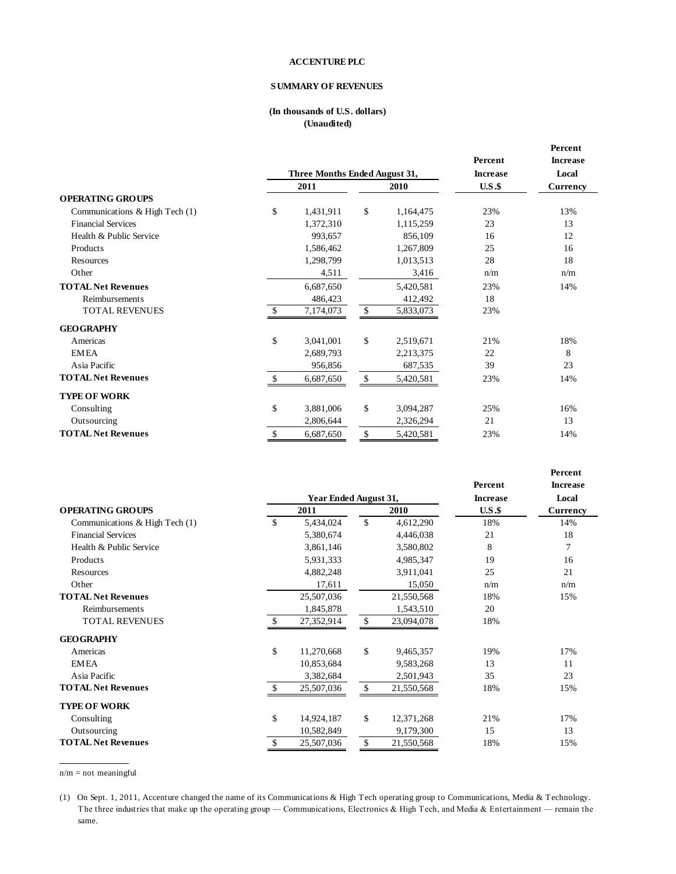#### **SUMMARY OF REVENUES**

#### **(In thousands of U.S. dollars) (Unaudited)**

|                                |                               |           |              |                 |         | Percent         |
|--------------------------------|-------------------------------|-----------|--------------|-----------------|---------|-----------------|
|                                |                               |           |              |                 | Percent | <b>Increase</b> |
|                                | Three Months Ended August 31, |           |              | <b>Increase</b> | Local   |                 |
|                                | 2011                          |           |              | 2010            | U.S.S   | <b>Currency</b> |
| <b>OPERATING GROUPS</b>        |                               |           |              |                 |         |                 |
| Communications & High Tech (1) | \$                            | 1,431,911 | $\mathbb{S}$ | 1,164,475       | 23%     | 13%             |
| <b>Financial Services</b>      |                               | 1,372,310 |              | 1,115,259       | 23      | 13              |
| Health & Public Service        |                               | 993,657   |              | 856,109         | 16      | 12              |
| Products                       |                               | 1,586,462 |              | 1,267,809       | 25      | 16              |
| Resources                      |                               | 1,298,799 |              | 1,013,513       | 28      | 18              |
| Other                          |                               | 4,511     |              | 3,416           | n/m     | n/m             |
| <b>TOTAL Net Revenues</b>      |                               | 6,687,650 |              | 5,420,581       | 23%     | 14%             |
| Reimbursements                 |                               | 486,423   |              | 412,492         | 18      |                 |
| <b>TOTAL REVENUES</b>          | $\mathbb{S}$                  | 7,174,073 | $\mathbb{S}$ | 5,833,073       | 23%     |                 |
| <b>GEOGRAPHY</b>               |                               |           |              |                 |         |                 |
| Americas                       | \$                            | 3,041,001 | \$           | 2,519,671       | 21%     | 18%             |
| <b>EMEA</b>                    |                               | 2,689,793 |              | 2,213,375       | 22      | 8               |
| Asia Pacific                   |                               | 956,856   |              | 687,535         | 39      | 23              |
| <b>TOTAL Net Revenues</b>      |                               | 6,687,650 | \$           | 5,420,581       | 23%     | 14%             |
| <b>TYPE OF WORK</b>            |                               |           |              |                 |         |                 |
| Consulting                     | \$                            | 3,881,006 | \$           | 3,094,287       | 25%     | 16%             |
| Outsourcing                    |                               | 2,806,644 |              | 2,326,294       | 21      | 13              |
| <b>TOTAL Net Revenues</b>      | \$                            | 6,687,650 | \$           | 5,420,581       | 23%     | 14%             |

|                                |    |                       |              |            |                 | Percent         |
|--------------------------------|----|-----------------------|--------------|------------|-----------------|-----------------|
|                                |    |                       |              |            | Percent         | <b>Increase</b> |
|                                |    | Year Ended August 31, |              |            | <b>Increase</b> | Local           |
| <b>OPERATING GROUPS</b>        |    | 2011                  | 2010         |            | U.S.S           | <b>Currency</b> |
| Communications & High Tech (1) | \$ | 5,434,024             | \$           | 4,612,290  | 18%             | 14%             |
| <b>Financial Services</b>      |    | 5,380,674             |              | 4,446,038  | 21              | 18              |
| Health & Public Service        |    | 3,861,146             |              | 3,580,802  | 8               | 7               |
| Products                       |    | 5,931,333             |              | 4,985,347  | 19              | 16              |
| Resources                      |    | 4,882,248             |              | 3,911,041  | 25              | 21              |
| Other                          |    | 17,611                |              | 15,050     | n/m             | n/m             |
| <b>TOTAL Net Revenues</b>      |    | 25,507,036            |              | 21,550,568 | 18%             | 15%             |
| Reimbursements                 |    | 1,845,878             |              | 1,543,510  | 20              |                 |
| <b>TOTAL REVENUES</b>          |    | 27,352,914            | \$           | 23,094,078 | 18%             |                 |
| <b>GEOGRAPHY</b>               |    |                       |              |            |                 |                 |
| Americas                       | \$ | 11,270,668            | $\mathbb{S}$ | 9,465,357  | 19%             | 17%             |
| <b>EMEA</b>                    |    | 10,853,684            |              | 9,583,268  | 13              | 11              |
| Asia Pacific                   |    | 3,382,684             |              | 2,501,943  | 35              | 23              |
| <b>TOTAL Net Revenues</b>      | S. | 25,507,036            | \$           | 21,550,568 | 18%             | 15%             |
| <b>TYPE OF WORK</b>            |    |                       |              |            |                 |                 |
| Consulting                     | \$ | 14,924,187            | \$           | 12,371,268 | 21%             | 17%             |
| Outsourcing                    |    | 10,582,849            |              | 9,179,300  | 15              | 13              |
| <b>TOTAL Net Revenues</b>      | \$ | 25,507,036            | \$           | 21,550,568 | 18%             | 15%             |

n/m = not meaningful

 $\overline{a}$ 

(1) On Sept. 1, 2011, Accenture changed the name of its Communications & High Tech operating group to Communications, Media & Technology. The three industries that make up the operating group — Communications & High Tech operating group to Communications, Media & Technology.<br>The three industries that make up the operating group — Communications, Electronics same.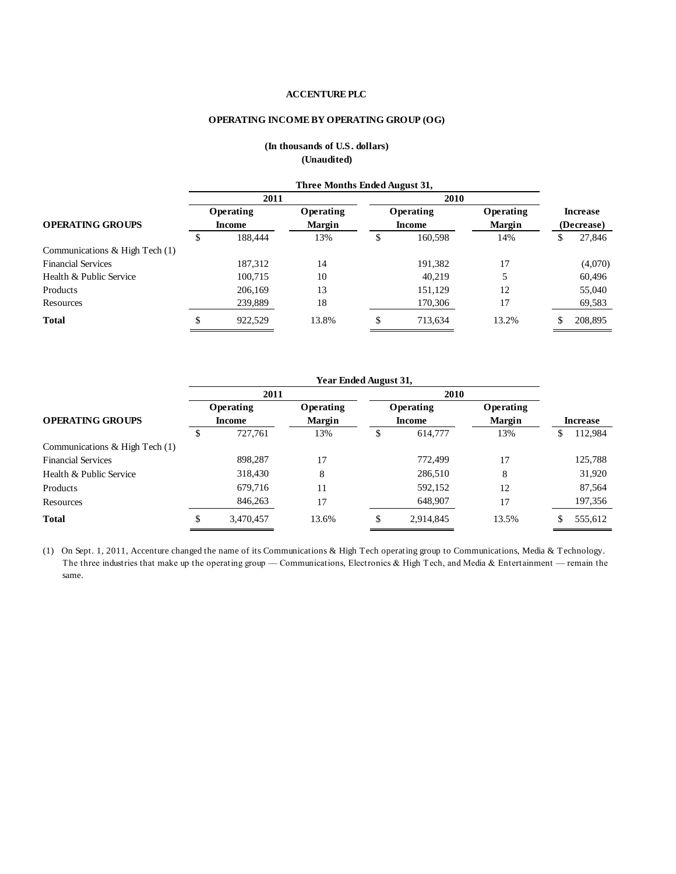#### **OPERATING INCOME BY OPERATING GROUP (OG)**

|                                | Three Months Ended August 31, |         |               |                     |         |               |                               |         |
|--------------------------------|-------------------------------|---------|---------------|---------------------|---------|---------------|-------------------------------|---------|
|                                | 2011                          |         |               |                     | 2010    |               |                               |         |
| <b>OPERATING GROUPS</b>        | Operating<br><b>Income</b>    |         | Operating     | Operating<br>Income |         | Operating     | <b>Increase</b><br>(Decrease) |         |
|                                |                               |         | <b>Margin</b> |                     |         | <b>Margin</b> |                               |         |
|                                | æ.                            | 188,444 | 13%           | D                   | 160,598 | 14%           | \$                            | 27,846  |
| Communications & High Tech (1) |                               |         |               |                     |         |               |                               |         |
| <b>Financial Services</b>      |                               | 187,312 | 14            |                     | 191,382 | 17            |                               | (4,070) |
| Health & Public Service        |                               | 100,715 | 10            |                     | 40,219  |               |                               | 60,496  |
| Products                       |                               | 206.169 | 13            |                     | 151,129 | 12            |                               | 55,040  |
| Resources                      |                               | 239,889 | 18            |                     | 170,306 | 17            |                               | 69,583  |
| <b>Total</b>                   | \$                            | 922,529 | 13.8%         | \$                  | 713.634 | 13.2%         |                               | 208,895 |

#### **(In thousands of U.S. dollars) (Unaudited)**

|                                  | Year Ended August 31,      |           |                            |                            |           |                            |                 |         |
|----------------------------------|----------------------------|-----------|----------------------------|----------------------------|-----------|----------------------------|-----------------|---------|
|                                  | 2011                       |           |                            | 2010                       |           |                            |                 |         |
| <b>OPERATING GROUPS</b>          | Operating<br><b>Income</b> |           | Operating<br><b>Margin</b> | Operating<br><b>Income</b> |           | Operating<br><b>Margin</b> | <b>Increase</b> |         |
|                                  | \$                         | 727.761   | 13%                        | \$                         | 614,777   | 13%                        | S               | 112,984 |
| Communications & High Tech $(1)$ |                            |           |                            |                            |           |                            |                 |         |
| <b>Financial Services</b>        |                            | 898.287   | 17                         |                            | 772,499   | 17                         |                 | 125,788 |
| Health & Public Service          |                            | 318,430   | 8                          |                            | 286,510   | 8                          |                 | 31,920  |
| Products                         |                            | 679,716   | 11                         |                            | 592,152   | 12                         |                 | 87,564  |
| Resources                        |                            | 846,263   | 17                         |                            | 648,907   | 17                         |                 | 197,356 |
| <b>Total</b>                     | \$                         | 3,470,457 | 13.6%                      | \$                         | 2,914,845 | 13.5%                      |                 | 555,612 |

(1) On Sept. 1, 2011, Accenture changed the name of its Communications & High Tech operating group to Communications, Media & Technology. Total S. 3,470,457 13.6% S. 2,914,845 13.5% S. 555,612<br>(1) On Sept. 1, 2011, Accenture changed the name of its Communications & High Tech operating group to Communications, Media & Technology.<br>The three industries that mak same.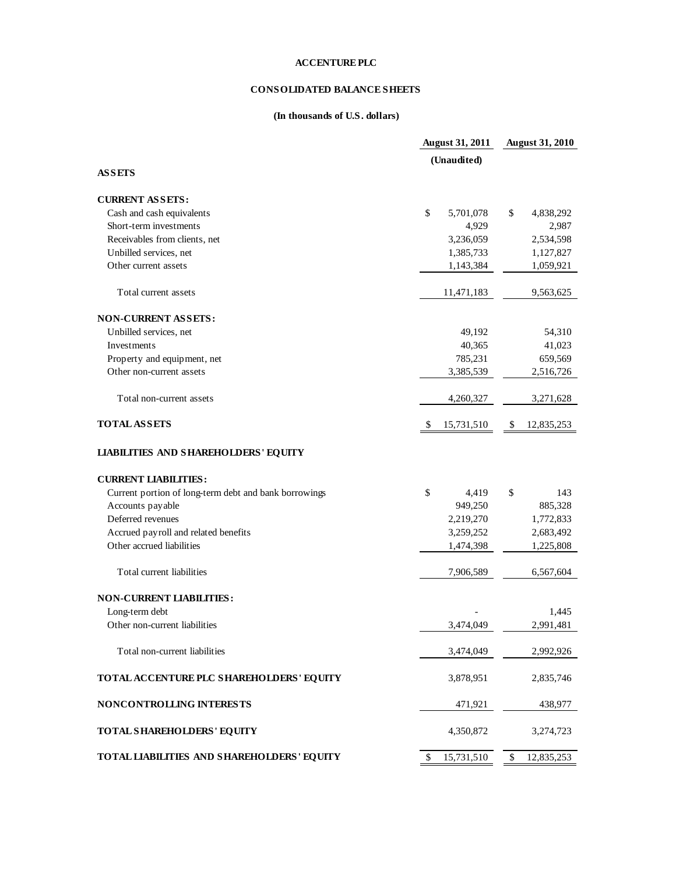### **CONSOLIDATED BALANCE SHEETS**

#### **(In thousands of U.S. dollars)**

| (Unaudited)<br><b>ASSETS</b><br><b>CURRENT ASSETS:</b><br>\$<br>Cash and cash equivalents<br>5,701,078<br>\$<br>4,838,292<br>Short-term investments<br>4,929<br>2,987<br>Receivables from clients, net<br>3,236,059<br>2,534,598<br>Unbilled services, net<br>1,385,733<br>1,127,827<br>Other current assets<br>1,143,384<br>1,059,921<br>Total current assets<br>11,471,183<br>9,563,625<br><b>NON-CURRENT ASSETS:</b><br>Unbilled services, net<br>49,192<br>54,310<br>Investments<br>40,365<br>41,023<br>Property and equipment, net<br>785,231<br>659,569<br>Other non-current assets<br>3,385,539<br>2,516,726 |
|---------------------------------------------------------------------------------------------------------------------------------------------------------------------------------------------------------------------------------------------------------------------------------------------------------------------------------------------------------------------------------------------------------------------------------------------------------------------------------------------------------------------------------------------------------------------------------------------------------------------|
|                                                                                                                                                                                                                                                                                                                                                                                                                                                                                                                                                                                                                     |
|                                                                                                                                                                                                                                                                                                                                                                                                                                                                                                                                                                                                                     |
|                                                                                                                                                                                                                                                                                                                                                                                                                                                                                                                                                                                                                     |
|                                                                                                                                                                                                                                                                                                                                                                                                                                                                                                                                                                                                                     |
|                                                                                                                                                                                                                                                                                                                                                                                                                                                                                                                                                                                                                     |
|                                                                                                                                                                                                                                                                                                                                                                                                                                                                                                                                                                                                                     |
|                                                                                                                                                                                                                                                                                                                                                                                                                                                                                                                                                                                                                     |
|                                                                                                                                                                                                                                                                                                                                                                                                                                                                                                                                                                                                                     |
|                                                                                                                                                                                                                                                                                                                                                                                                                                                                                                                                                                                                                     |
|                                                                                                                                                                                                                                                                                                                                                                                                                                                                                                                                                                                                                     |
|                                                                                                                                                                                                                                                                                                                                                                                                                                                                                                                                                                                                                     |
|                                                                                                                                                                                                                                                                                                                                                                                                                                                                                                                                                                                                                     |
|                                                                                                                                                                                                                                                                                                                                                                                                                                                                                                                                                                                                                     |
|                                                                                                                                                                                                                                                                                                                                                                                                                                                                                                                                                                                                                     |
|                                                                                                                                                                                                                                                                                                                                                                                                                                                                                                                                                                                                                     |
|                                                                                                                                                                                                                                                                                                                                                                                                                                                                                                                                                                                                                     |
| Total non-current assets<br>4,260,327<br>3,271,628                                                                                                                                                                                                                                                                                                                                                                                                                                                                                                                                                                  |
| <b>TOTAL ASSETS</b><br>15,731,510<br>12,835,253<br>S.<br>\$.                                                                                                                                                                                                                                                                                                                                                                                                                                                                                                                                                        |
| <b>LIABILITIES AND SHAREHOLDERS' EQUITY</b>                                                                                                                                                                                                                                                                                                                                                                                                                                                                                                                                                                         |
| <b>CURRENT LIABILITIES:</b>                                                                                                                                                                                                                                                                                                                                                                                                                                                                                                                                                                                         |
| Current portion of long-term debt and bank borrowings<br>\$<br>\$<br>143<br>4,419                                                                                                                                                                                                                                                                                                                                                                                                                                                                                                                                   |
| Accounts payable<br>885,328<br>949,250                                                                                                                                                                                                                                                                                                                                                                                                                                                                                                                                                                              |
| Deferred revenues<br>2,219,270<br>1,772,833                                                                                                                                                                                                                                                                                                                                                                                                                                                                                                                                                                         |
| Accrued payroll and related benefits<br>3,259,252<br>2,683,492                                                                                                                                                                                                                                                                                                                                                                                                                                                                                                                                                      |
| Other accrued liabilities<br>1,474,398<br>1,225,808                                                                                                                                                                                                                                                                                                                                                                                                                                                                                                                                                                 |
| Total current liabilities<br>7,906,589<br>6,567,604                                                                                                                                                                                                                                                                                                                                                                                                                                                                                                                                                                 |
|                                                                                                                                                                                                                                                                                                                                                                                                                                                                                                                                                                                                                     |
| <b>NON-CURRENT LIABILITIES:</b>                                                                                                                                                                                                                                                                                                                                                                                                                                                                                                                                                                                     |
| Long-term debt<br>1,445                                                                                                                                                                                                                                                                                                                                                                                                                                                                                                                                                                                             |
| Other non-current liabilities<br>2,991,481<br>3,474,049                                                                                                                                                                                                                                                                                                                                                                                                                                                                                                                                                             |
| Total non-current liabilities<br>3,474,049<br>2,992,926                                                                                                                                                                                                                                                                                                                                                                                                                                                                                                                                                             |
| TOTAL ACCENTURE PLC SHAREHOLDERS' EQUITY<br>3,878,951<br>2,835,746                                                                                                                                                                                                                                                                                                                                                                                                                                                                                                                                                  |
| NONCONTROLLING INTERESTS<br>471,921<br>438,977                                                                                                                                                                                                                                                                                                                                                                                                                                                                                                                                                                      |
| TOTAL SHAREHOLDERS' EQUITY<br>4,350,872<br>3,274,723                                                                                                                                                                                                                                                                                                                                                                                                                                                                                                                                                                |
| TOTAL LIABILITIES AND SHAREHOLDERS' EQUITY<br>15,731,510<br>\$<br>12,835,253<br>\$                                                                                                                                                                                                                                                                                                                                                                                                                                                                                                                                  |